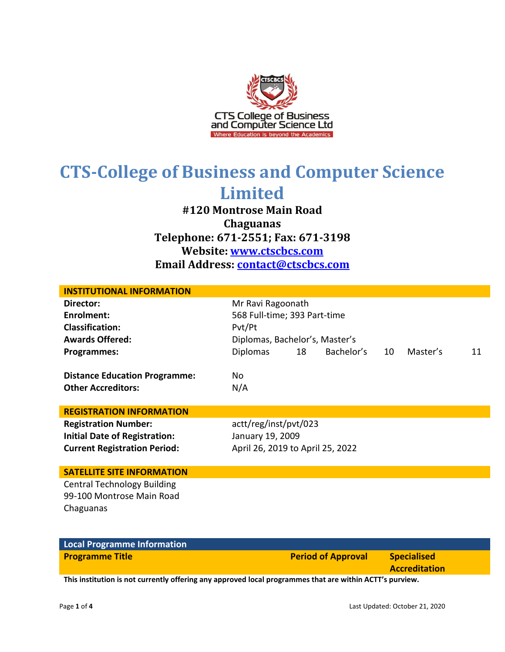

**#120 Montrose Main Road Chaguanas Telephone: 671-2551; Fax: 671-3198 Website: www.ctscbcs.com Email Address: contact@ctscbcs.com**

| <b>INSTITUTIONAL INFORMATION</b>                                                                           |                                                                                                                                                              |
|------------------------------------------------------------------------------------------------------------|--------------------------------------------------------------------------------------------------------------------------------------------------------------|
| Director:<br><b>Enrolment:</b><br><b>Classification:</b><br><b>Awards Offered:</b><br>Programmes:          | Mr Ravi Ragoonath<br>568 Full-time; 393 Part-time<br>Pvt/Pt<br>Diplomas, Bachelor's, Master's<br>Bachelor's<br><b>Diplomas</b><br>18<br>Master's<br>10<br>11 |
| <b>Distance Education Programme:</b><br><b>Other Accreditors:</b>                                          | No<br>N/A                                                                                                                                                    |
| <b>REGISTRATION INFORMATION</b>                                                                            |                                                                                                                                                              |
| <b>Registration Number:</b><br><b>Initial Date of Registration:</b><br><b>Current Registration Period:</b> | actt/reg/inst/pvt/023<br>January 19, 2009<br>April 26, 2019 to April 25, 2022                                                                                |
| <b>SATELLITE SITE INFORMATION</b>                                                                          |                                                                                                                                                              |
| <b>Central Technology Building</b><br>99-100 Montrose Main Road<br>Chaguanas                               |                                                                                                                                                              |

| Local Programme Information                                                                                       |                           |                                            |
|-------------------------------------------------------------------------------------------------------------------|---------------------------|--------------------------------------------|
| <b>Programme Title</b>                                                                                            | <b>Period of Approval</b> | <b>Specialised</b><br><b>Accreditation</b> |
| This is attented to be a consecute offention component to college accessories that one column to a cryptomente.co |                           |                                            |

**This institution is not currently offering any approved local programmes that are within ACTT's purview.**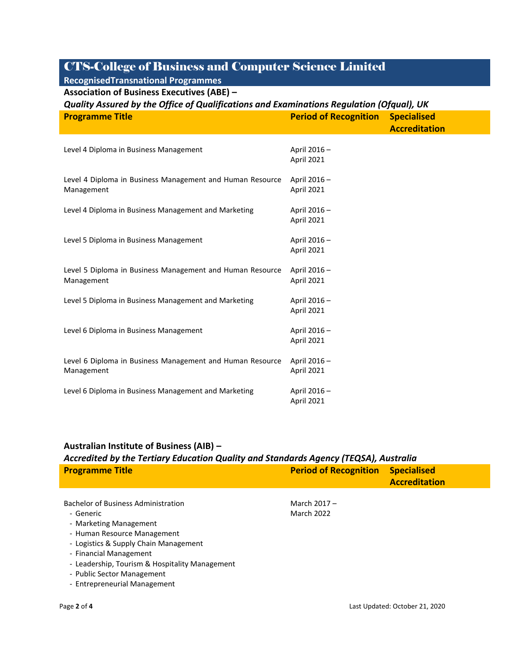**RecognisedTransnational Programmes Association of Business Executives (ABE) –**

| Quality Assured by the Office of Qualifications and Examinations Regulation (Ofqual), UK |                                  |                      |  |
|------------------------------------------------------------------------------------------|----------------------------------|----------------------|--|
| <b>Programme Title</b>                                                                   | <b>Period of Recognition</b>     | <b>Specialised</b>   |  |
|                                                                                          |                                  | <b>Accreditation</b> |  |
|                                                                                          |                                  |                      |  |
| Level 4 Diploma in Business Management                                                   | April 2016-                      |                      |  |
|                                                                                          | April 2021                       |                      |  |
| Level 4 Diploma in Business Management and Human Resource                                | April 2016-                      |                      |  |
| Management                                                                               | April 2021                       |                      |  |
|                                                                                          |                                  |                      |  |
| Level 4 Diploma in Business Management and Marketing                                     | April 2016-                      |                      |  |
|                                                                                          | April 2021                       |                      |  |
|                                                                                          | April 2016-                      |                      |  |
| Level 5 Diploma in Business Management                                                   | April 2021                       |                      |  |
|                                                                                          |                                  |                      |  |
| Level 5 Diploma in Business Management and Human Resource                                | April 2016-                      |                      |  |
| Management                                                                               | April 2021                       |                      |  |
|                                                                                          |                                  |                      |  |
| Level 5 Diploma in Business Management and Marketing                                     | April 2016-<br><b>April 2021</b> |                      |  |
|                                                                                          |                                  |                      |  |
| Level 6 Diploma in Business Management                                                   | April 2016-                      |                      |  |
|                                                                                          | April 2021                       |                      |  |
|                                                                                          |                                  |                      |  |
| Level 6 Diploma in Business Management and Human Resource<br>Management                  | April 2016-<br><b>April 2021</b> |                      |  |
|                                                                                          |                                  |                      |  |
| Level 6 Diploma in Business Management and Marketing                                     | April 2016-                      |                      |  |
|                                                                                          | April 2021                       |                      |  |

#### **Australian Institute of Business (AIB) –**

*Accredited by the Tertiary Education Quality and Standards Agency (TEQSA), Australia*

| <b>Period of Recognition</b> | <b>Specialised</b><br><b>Accreditation</b> |  |
|------------------------------|--------------------------------------------|--|
|                              |                                            |  |
|                              |                                            |  |
| <b>March 2022</b>            |                                            |  |
|                              |                                            |  |
|                              |                                            |  |
|                              |                                            |  |
|                              |                                            |  |
|                              |                                            |  |
|                              |                                            |  |
|                              | March $2017 -$                             |  |

- Entrepreneurial Management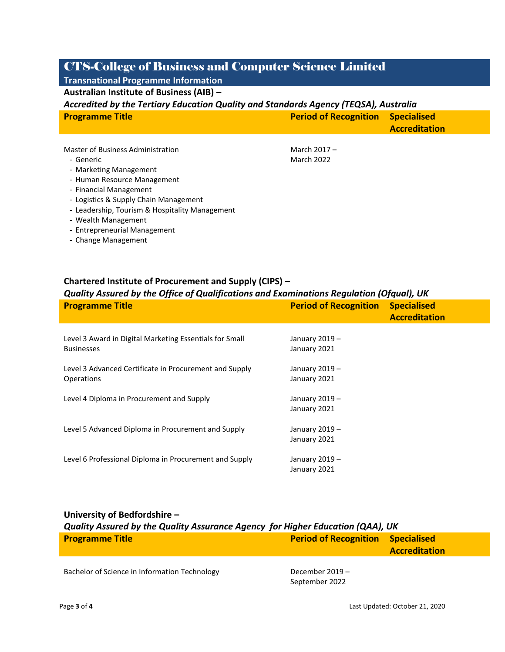#### **Transnational Programme Information Australian Institute of Business (AIB) –**

#### *Accredited by the Tertiary Education Quality and Standards Agency (TEQSA), Australia*

| <b>Programme Title</b> | <b>Period of Recognition Specialised</b> |                      |
|------------------------|------------------------------------------|----------------------|
|                        |                                          | <b>Accreditation</b> |

March 2017 – March 2022

- Generic
- Marketing Management
- Human Resource Management
- Financial Management
- Logistics & Supply Chain Management
- Leadership, Tourism & Hospitality Management
- Wealth Management
- Entrepreneurial Management
- Change Management

#### **Chartered Institute of Procurement and Supply (CIPS) –**

#### *Quality Assured by the Office of Qualifications and Examinations Regulation (Ofqual), UK*

| <b>Programme Title</b>                                  | <b>Period of Recognition</b> | <b>Specialised</b><br><b>Accreditation</b> |
|---------------------------------------------------------|------------------------------|--------------------------------------------|
| Level 3 Award in Digital Marketing Essentials for Small | January 2019 -               |                                            |
| <b>Businesses</b>                                       | January 2021                 |                                            |
| Level 3 Advanced Certificate in Procurement and Supply  | January 2019 -               |                                            |
| Operations                                              | January 2021                 |                                            |
| Level 4 Diploma in Procurement and Supply               | January 2019 -               |                                            |
|                                                         | January 2021                 |                                            |
| Level 5 Advanced Diploma in Procurement and Supply      | January 2019 -               |                                            |
|                                                         | January 2021                 |                                            |
| Level 6 Professional Diploma in Procurement and Supply  | January 2019 -               |                                            |
|                                                         | January 2021                 |                                            |

| University of Bedfordshire -                                                   |                              |                                            |
|--------------------------------------------------------------------------------|------------------------------|--------------------------------------------|
| Quality Assured by the Quality Assurance Agency for Higher Education (QAA), UK |                              |                                            |
| <b>Programme Title</b>                                                         | <b>Period of Recognition</b> | <b>Specialised</b><br><b>Accreditation</b> |
|                                                                                |                              |                                            |

Bachelor of Science in Information Technology December 2019 -

September 2022